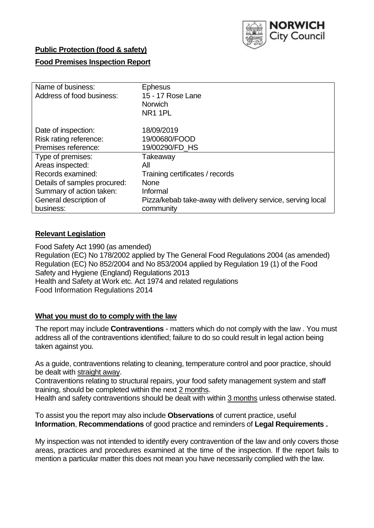

## **Public Protection (food & safety)**

## **Food Premises Inspection Report**

| Name of business:<br>Address of food business: | <b>Ephesus</b><br>15 - 17 Rose Lane<br><b>Norwich</b><br>NR <sub>1</sub> 1PL |
|------------------------------------------------|------------------------------------------------------------------------------|
| Date of inspection:                            | 18/09/2019                                                                   |
| Risk rating reference:                         | 19/00680/FOOD                                                                |
| Premises reference:                            | 19/00290/FD HS                                                               |
| Type of premises:                              | Takeaway                                                                     |
| Areas inspected:                               | All                                                                          |
| Records examined:                              | Training certificates / records                                              |
| Details of samples procured:                   | <b>None</b>                                                                  |
| Summary of action taken:                       | Informal                                                                     |
| General description of                         | Pizza/kebab take-away with delivery service, serving local                   |
| business:                                      | community                                                                    |

## **Relevant Legislation**

Food Safety Act 1990 (as amended) Regulation (EC) No 178/2002 applied by The General Food Regulations 2004 (as amended) Regulation (EC) No 852/2004 and No 853/2004 applied by Regulation 19 (1) of the Food Safety and Hygiene (England) Regulations 2013 Health and Safety at Work etc. Act 1974 and related regulations Food Information Regulations 2014

## **What you must do to comply with the law**

The report may include **Contraventions** - matters which do not comply with the law . You must address all of the contraventions identified; failure to do so could result in legal action being taken against you.

As a guide, contraventions relating to cleaning, temperature control and poor practice, should be dealt with straight away.

Contraventions relating to structural repairs, your food safety management system and staff training, should be completed within the next 2 months.

Health and safety contraventions should be dealt with within 3 months unless otherwise stated.

To assist you the report may also include **Observations** of current practice, useful **Information**, **Recommendations** of good practice and reminders of **Legal Requirements .**

My inspection was not intended to identify every contravention of the law and only covers those areas, practices and procedures examined at the time of the inspection. If the report fails to mention a particular matter this does not mean you have necessarily complied with the law.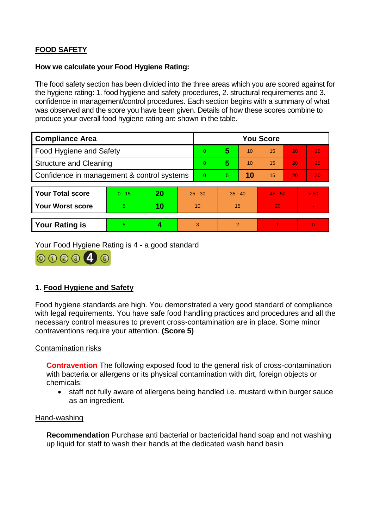# **FOOD SAFETY**

#### **How we calculate your Food Hygiene Rating:**

The food safety section has been divided into the three areas which you are scored against for the hygiene rating: 1. food hygiene and safety procedures, 2. structural requirements and 3. confidence in management/control procedures. Each section begins with a summary of what was observed and the score you have been given. Details of how these scores combine to produce your overall food hygiene rating are shown in the table.

| <b>Compliance Area</b>                     |          |    |           | <b>You Score</b> |                |    |           |    |          |  |  |
|--------------------------------------------|----------|----|-----------|------------------|----------------|----|-----------|----|----------|--|--|
| Food Hygiene and Safety                    |          |    |           | $\overline{0}$   | 5              | 10 | 15        | 20 | 25       |  |  |
| <b>Structure and Cleaning</b>              |          |    |           | $\Omega$         | 5              | 10 | 15        | 20 | 25       |  |  |
| Confidence in management & control systems |          |    |           | $\Omega$         | 5.             | 10 | 15        | 20 | 30       |  |  |
|                                            |          |    |           |                  |                |    |           |    |          |  |  |
| <b>Your Total score</b>                    | $0 - 15$ | 20 | $25 - 30$ |                  | $35 - 40$      |    | $45 - 50$ |    | > 50     |  |  |
| <b>Your Worst score</b>                    | 5.       | 10 | 10        |                  | 15             |    | 20        |    | ÷        |  |  |
|                                            |          |    |           |                  |                |    |           |    |          |  |  |
| <b>Your Rating is</b>                      | 5        |    |           | 3                | $\overline{2}$ |    |           |    | $\Omega$ |  |  |

Your Food Hygiene Rating is 4 - a good standard



## **1. Food Hygiene and Safety**

Food hygiene standards are high. You demonstrated a very good standard of compliance with legal requirements. You have safe food handling practices and procedures and all the necessary control measures to prevent cross-contamination are in place. Some minor contraventions require your attention. **(Score 5)**

## Contamination risks

**Contravention** The following exposed food to the general risk of cross-contamination with bacteria or allergens or its physical contamination with dirt, foreign objects or chemicals:

 staff not fully aware of allergens being handled i.e. mustard within burger sauce as an ingredient.

#### Hand-washing

**Recommendation** Purchase anti bacterial or bactericidal hand soap and not washing up liquid for staff to wash their hands at the dedicated wash hand basin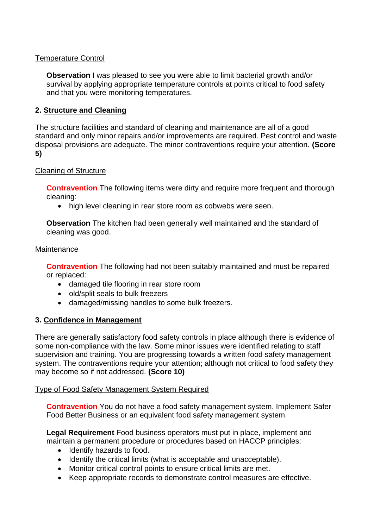## Temperature Control

**Observation** I was pleased to see you were able to limit bacterial growth and/or survival by applying appropriate temperature controls at points critical to food safety and that you were monitoring temperatures.

## **2. Structure and Cleaning**

The structure facilities and standard of cleaning and maintenance are all of a good standard and only minor repairs and/or improvements are required. Pest control and waste disposal provisions are adequate. The minor contraventions require your attention. **(Score 5)**

## Cleaning of Structure

**Contravention** The following items were dirty and require more frequent and thorough cleaning:

• high level cleaning in rear store room as cobwebs were seen.

**Observation** The kitchen had been generally well maintained and the standard of cleaning was good.

#### **Maintenance**

**Contravention** The following had not been suitably maintained and must be repaired or replaced:

- damaged tile flooring in rear store room
- old/split seals to bulk freezers
- damaged/missing handles to some bulk freezers.

## **3. Confidence in Management**

There are generally satisfactory food safety controls in place although there is evidence of some non-compliance with the law. Some minor issues were identified relating to staff supervision and training. You are progressing towards a written food safety management system. The contraventions require your attention; although not critical to food safety they may become so if not addressed. **(Score 10)**

## Type of Food Safety Management System Required

**Contravention** You do not have a food safety management system. Implement Safer Food Better Business or an equivalent food safety management system.

**Legal Requirement** Food business operators must put in place, implement and maintain a permanent procedure or procedures based on HACCP principles:

- Identify hazards to food.
- Identify the critical limits (what is acceptable and unacceptable).
- Monitor critical control points to ensure critical limits are met.
- Keep appropriate records to demonstrate control measures are effective.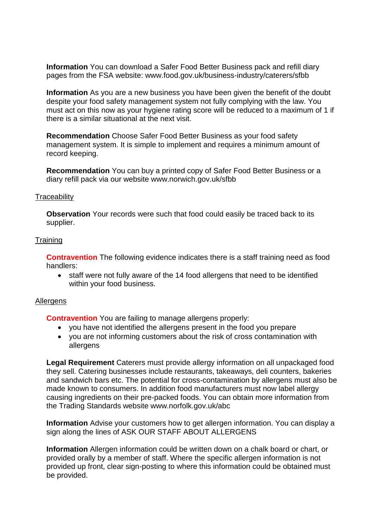**Information** You can download a Safer Food Better Business pack and refill diary pages from the FSA website: www.food.gov.uk/business-industry/caterers/sfbb

**Information** As you are a new business you have been given the benefit of the doubt despite your food safety management system not fully complying with the law. You must act on this now as your hygiene rating score will be reduced to a maximum of 1 if there is a similar situational at the next visit.

**Recommendation** Choose Safer Food Better Business as your food safety management system. It is simple to implement and requires a minimum amount of record keeping.

**Recommendation** You can buy a printed copy of Safer Food Better Business or a diary refill pack via our website www.norwich.gov.uk/sfbb

#### **Traceability**

**Observation** Your records were such that food could easily be traced back to its supplier.

#### **Training**

**Contravention** The following evidence indicates there is a staff training need as food handlers:

 staff were not fully aware of the 14 food allergens that need to be identified within your food business.

#### Allergens

**Contravention** You are failing to manage allergens properly:

- you have not identified the allergens present in the food you prepare
- you are not informing customers about the risk of cross contamination with allergens

**Legal Requirement** Caterers must provide allergy information on all unpackaged food they sell. Catering businesses include restaurants, takeaways, deli counters, bakeries and sandwich bars etc. The potential for cross-contamination by allergens must also be made known to consumers. In addition food manufacturers must now label allergy causing ingredients on their pre-packed foods. You can obtain more information from the Trading Standards website www.norfolk.gov.uk/abc

**Information** Advise your customers how to get allergen information. You can display a sign along the lines of ASK OUR STAFF ABOUT ALLERGENS

**Information** Allergen information could be written down on a chalk board or chart, or provided orally by a member of staff. Where the specific allergen information is not provided up front, clear sign-posting to where this information could be obtained must be provided.